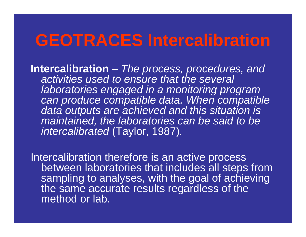# **GEOTRACES Intercalibration**

**Intercalibration**  $\mathcal{L}_{\mathcal{A}}$  , where  $\mathcal{L}_{\mathcal{A}}$  is the set of the set of the set of the set of the set of the set of the set of the set of the set of the set of the set of the set of the set of the set of the set of the set of the *The process, procedures, and activities used to ensure that the several laboratories engaged in a monitoring program can produce compatible data. When compatible data outputs are achieved and this situation is maintained, the laboratories can be said to be intercalibrated* (Taylor, 1987)*.*

Intercalibration therefore is an active process between laboratories that includes all steps from sampling to analyses, with the goal of achieving the same accurate results regardless of the method or lab.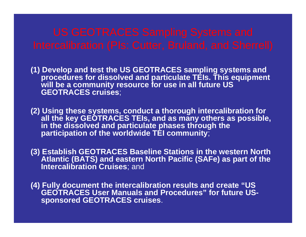**(1) Develop and test the US GEOTRACES sampling systems and procedures for dissolved and particulate TEIs. This equipment will be a community resource for use in all future US GEOTRACES cruises**;

**(2) Using these systems, conduct a thorough intercalibration for all the key GEOTRACES TEIs, and as many others as possible, in the dissolved and particulate phases through the participation of the worldwide TEI community**;

**(3) Establish GEOTRACES Baseline Stations in the western North Atlantic (BATS) and eastern North Pacific (SAFe) as part of the Intercalibration Cruises**; and

**(4) Fully document the intercalibration results and create "US GEOTRACES User Manuals and Procedures" for future USsponsored GEOTRACES cruises**.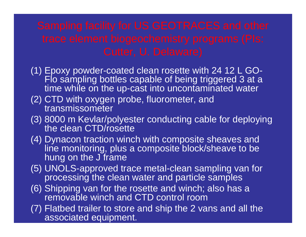- (1) Epoxy powder-coated clean rosette with 24 12 L GO-Flo sampling bottles capable of being triggered 3 at a time while on the up-cast into uncontaminated water
- (2) CTD with oxygen probe, fluorometer, and transmissometer
- (3) 8000 m Kevlar/polyester conducting cable for deploying the clean CTD/rosette
- (4) Dynacon traction winch with composite sheaves and line monitoring, plus a composite block/sheave to be hung on the J frame
- (5) UNOLS-approved trace metal-clean sampling van for processing the clean water and particle samples
- (6) Shipping van for the rosette and winch; also has a removable winch and CTD control room
- (7) Flatbed trailer to store and ship the 2 vans and all the associated equipment.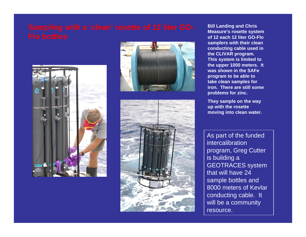





**Bill Landing and Chris Measure's rosette system of 12 each 12 liter GO-Flo samplers with their clean conducting cable used in the CLIVAR program. This system is limited to the upper 1000 meters. It was shown in the SAFe program to be able to take clean samples for iron. There are still some problems for zinc.**

**They sample on the way up with the rosette moving into clean water.**

As part of the funded intercalibration program, Greg Cutter is building a GEOTRACES system that will have 24 sample bottles and 8000 meters of Kevlar conducting cable. It will be a community resource.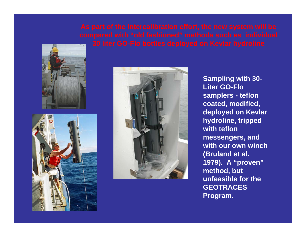





**Sampling with 30- Liter GO-Flo samplers - teflon coated, modified, deployed on Kevlar hydroline, tripped with teflon messengers, and with our own winch (Bruland et al. 1979). A "proven" method, but unfeasible for the GEOTRACES Program.**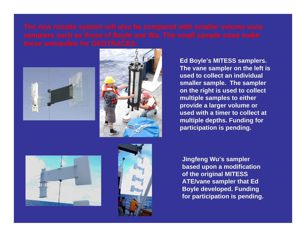



**Ed Boyle's MITESS samplers. The vane sampler on the left is used to collect an individual smaller sample. The sampler on the right is used to collect multiple samples to either provide a larger volume or used with a timer to collect at multiple depths. Funding for participation is pending.**





**Jingfeng Wu's sampler based upon a modification of the original MITESS ATE/vane sampler that Ed Boyle developed. Funding for participation is pending.**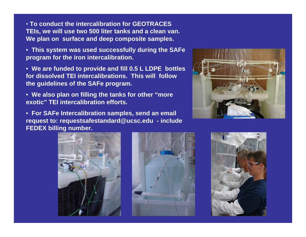• **To conduct the intercalibration for GEOTRACES TEIs, we will use two 500 liter tanks and a clean van. We plan on surface and deep composite samples.**

• **This system was used successfully during the SAFe program for the iron intercalibration.**

• **We are funded to provide and fill 0.5 L LDPE bottles for dissolved TEI intercalibrations. This will follow the guidelines of the SAFe program.**

• **We also plan on filling the tanks for other "more exotic" TEI intercalibration efforts.**

• **For SAFe Intercalibration samples, send an email request to: requestsafestandard@ucsc.edu - include FEDEX billing number.**







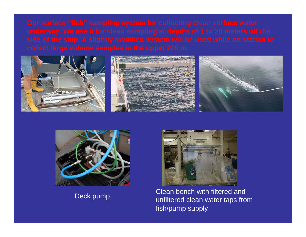





Deck pump Clean bench with filtered and<br>unfiltered clean water taps from fish/pump supply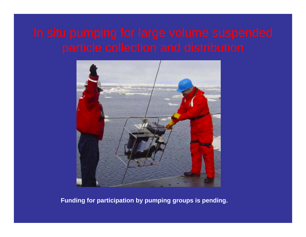

**Funding for participation by pumping groups is pending.**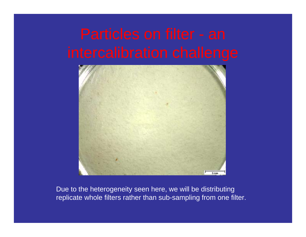

Due to the heterogeneity seen here, we will be distributing replicate whole filters rather than sub-sampling from one filter.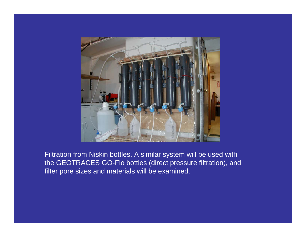

Filtration from Niskin bottles. A similar system will be used with the GEOTRACES GO-Flo bottles (direct pressure filtration), and filter pore sizes and materials will be examined.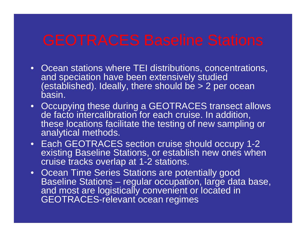- Ocean stations where TEI distributions, concentrations, and speciation have been extensively studied (established). Ideally, there should be > 2 per ocean basin.
- Occupying these during a GEOTRACES transect allows de facto intercalibration for each cruise. In addition, these locations facilitate the testing of new sampling or analytical methods.
- Each GEOTRACES section cruise should occupy 1-2 existing Baseline Stations, or establish new ones when cruise tracks overlap at 1-2 stations.
- Ocean Time Series Stations are potentially good Baseline Stations – regular occupation, large data base, and most are logistically convenient or located in GEOTRACES-relevant ocean regimes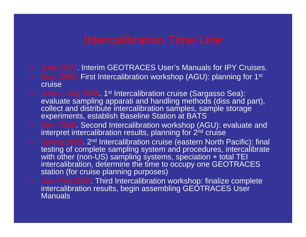- June 2007. Interim GEOTRACES User's Manuals for IPY Cruises.
- $\bullet$   $\,$  Dec. 2007. First Intercalibration workshop (AGU): planning for 1 $^{\rm st}$ cruise
- $\bullet$  June July 2008. 1st Intercalibration cruise (Sargasso Sea): evaluate sampling apparati and handling methods (diss and part), collect and distribute intercalibration samples, sample storage experiments, establish Baseline Station at BATS
- Dec. 2008. Second Intercalibration workshop (AGU): evaluate and interpret intercalibration results, planning for 2<sup>nd</sup> cruise
- Spring 2009. 2<sup>nd</sup> Intercalibration cruise (eastern North Pacific): final testing of complete sampling system and procedures, intercalibrate with other (non-US) sampling systems, speciation + total TEI intercalibration, determine the time to occupy one GEOTRACES station (for cruise planning purposes)
- Jan.-Feb 2010. Third Intercalibration workshop: finalize complete intercalibration results, begin assembling GEOTRACES User **Manuals**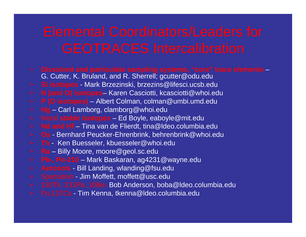- **Dissolved and particulate sampling systems, "core" trace elements** G. Cutter, K. Bruland, and R. Sherrell; gcutter@odu.edu
- **Si isotopes** Mark Brzezinski, brzezins@lifesci.ucsb.edu
- **N (and O) isotopes** Karen Casciotti, kcasciotti@whoi.edu
- **P (O isotopes)** Albert Colman, colman@umbi.umd.edu
- **Hg** Carl Lamborg, clamborg@whoi.edu
- Metal **stable isotopes** Ed Boyle, eaboyle@mit.edu
- **Nd and Hf** Tina van de Flierdt, tina@ldeo.columbia.edu
- **Os** Bernhard Peucker-Ehrenbrink, behrenbrink@whoi.edu
- **Th** Ken Buesseler, kbuesseler@whoi.edu
- **Ra** Billy Moore, moore@geol.sc.edu
- **Pb-, Po-210** Mark Baskaran, ag4231@wayne.edu
- **Aerosols** Bill Landing, wlanding@fsu.edu
- Speciation Jim Moffett, moffett@usc.edu
- 130Th, 231Pa ,10Be- Bob Anderson, boba@ldeo.columbia.edu
- Pu,137Cs Tim Kenna, tkenna@ldeo.columbia.edu